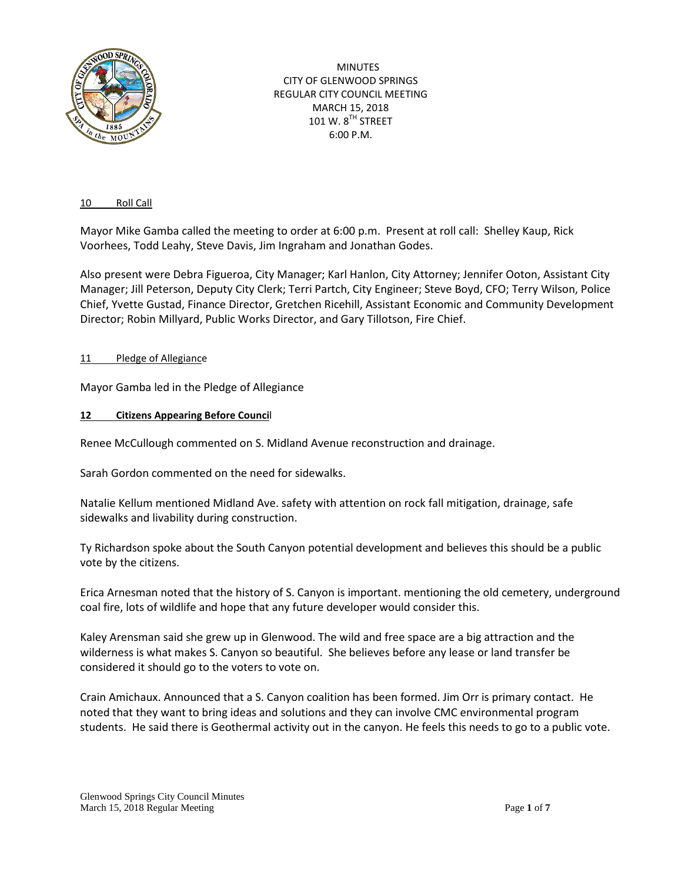

MINUTES CITY OF GLENWOOD SPRINGS REGULAR CITY COUNCIL MEETING MARCH 15, 2018 101 W. 8<sup>TH</sup> STREET 6:00 P.M.

### 10 Roll Call

Mayor Mike Gamba called the meeting to order at 6:00 p.m. Present at roll call: Shelley Kaup, Rick Voorhees, Todd Leahy, Steve Davis, Jim Ingraham and Jonathan Godes.

Also present were Debra Figueroa, City Manager; Karl Hanlon, City Attorney; Jennifer Ooton, Assistant City Manager; Jill Peterson, Deputy City Clerk; Terri Partch, City Engineer; Steve Boyd, CFO; Terry Wilson, Police Chief, Yvette Gustad, Finance Director, Gretchen Ricehill, Assistant Economic and Community Development Director; Robin Millyard, Public Works Director, and Gary Tillotson, Fire Chief.

### 11 Pledge of Allegiance

Mayor Gamba led in the Pledge of Allegiance

### **12 Citizens Appearing Before Counci**l

Renee McCullough commented on S. Midland Avenue reconstruction and drainage.

Sarah Gordon commented on the need for sidewalks.

Natalie Kellum mentioned Midland Ave. safety with attention on rock fall mitigation, drainage, safe sidewalks and livability during construction.

Ty Richardson spoke about the South Canyon potential development and believes this should be a public vote by the citizens.

Erica Arnesman noted that the history of S. Canyon is important. mentioning the old cemetery, underground coal fire, lots of wildlife and hope that any future developer would consider this.

Kaley Arensman said she grew up in Glenwood. The wild and free space are a big attraction and the wilderness is what makes S. Canyon so beautiful. She believes before any lease or land transfer be considered it should go to the voters to vote on.

Crain Amichaux. Announced that a S. Canyon coalition has been formed. Jim Orr is primary contact. He noted that they want to bring ideas and solutions and they can involve CMC environmental program students. He said there is Geothermal activity out in the canyon. He feels this needs to go to a public vote.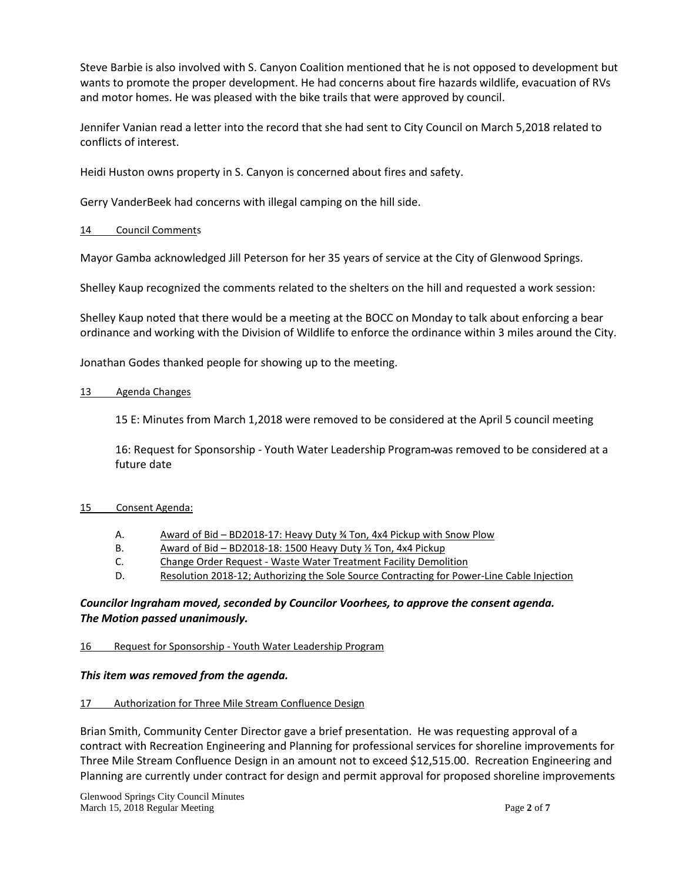Steve Barbie is also involved with S. Canyon Coalition mentioned that he is not opposed to development but wants to promote the proper development. He had concerns about fire hazards wildlife, evacuation of RVs and motor homes. He was pleased with the bike trails that were approved by council.

Jennifer Vanian read a letter into the record that she had sent to City Council on March 5,2018 related to conflicts of interest.

Heidi Huston owns property in S. Canyon is concerned about fires and safety.

Gerry VanderBeek had concerns with illegal camping on the hill side.

# 14 Council Comments

Mayor Gamba acknowledged Jill Peterson for her 35 years of service at the City of Glenwood Springs.

Shelley Kaup recognized the comments related to the shelters on the hill and requested a work session:

Shelley Kaup noted that there would be a meeting at the BOCC on Monday to talk about enforcing a bear ordinance and working with the Division of Wildlife to enforce the ordinance within 3 miles around the City.

Jonathan Godes thanked people for showing up to the meeting.

### 13 Agenda Changes

15 E: Minutes from March 1,2018 were removed to be considered at the April 5 council meeting

16: Request for Sponsorship - Youth Water Leadership Program was removed to be considered at a future date

# 15 Consent Agenda:

- A. Award of Bid BD2018-17: Heavy Duty ¾ Ton, 4x4 Pickup with Snow Plow
- B. Award of Bid BD2018-18: 1500 Heavy Duty ½ Ton, 4x4 Pickup
- C. Change Order Request Waste Water Treatment Facility Demolition
- D. Resolution 2018-12; Authorizing the Sole Source Contracting for Power-Line Cable Injection

# *Councilor Ingraham moved, seconded by Councilor Voorhees, to approve the consent agenda. The Motion passed unanimously.*

# 16 Request for Sponsorship - Youth Water Leadership Program

# *This item was removed from the agenda.*

#### 17 Authorization for Three Mile Stream Confluence Design

Brian Smith, Community Center Director gave a brief presentation. He was requesting approval of a contract with Recreation Engineering and Planning for professional services for shoreline improvements for Three Mile Stream Confluence Design in an amount not to exceed \$12,515.00. Recreation Engineering and Planning are currently under contract for design and permit approval for proposed shoreline improvements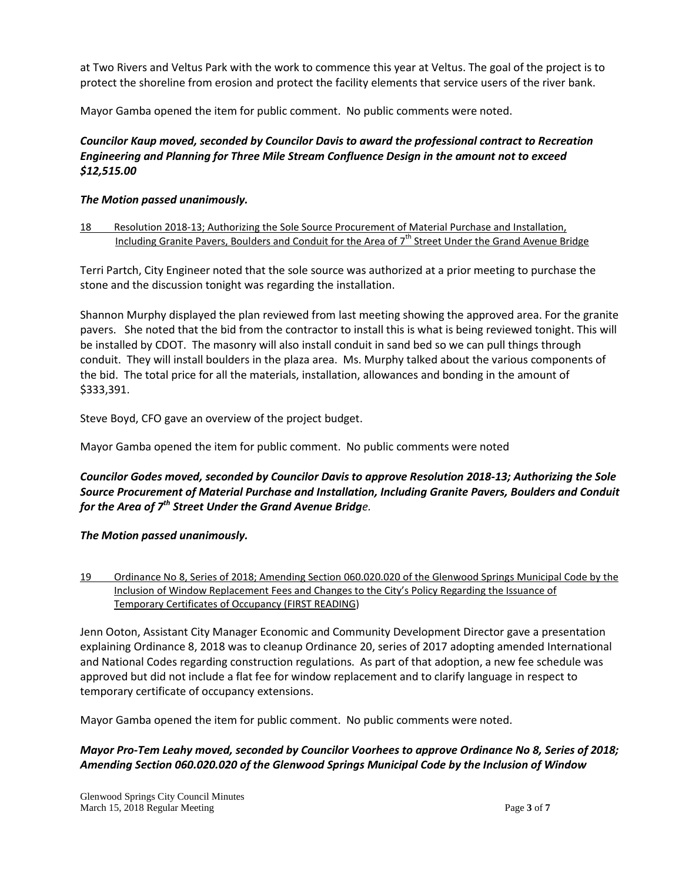at Two Rivers and Veltus Park with the work to commence this year at Veltus. The goal of the project is to protect the shoreline from erosion and protect the facility elements that service users of the river bank.

Mayor Gamba opened the item for public comment. No public comments were noted.

# *Councilor Kaup moved, seconded by Councilor Davis to award the professional contract to Recreation Engineering and Planning for Three Mile Stream Confluence Design in the amount not to exceed \$12,515.00*

# *The Motion passed unanimously.*

## 18 Resolution 2018-13; Authorizing the Sole Source Procurement of Material Purchase and Installation, Including Granite Pavers, Boulders and Conduit for the Area of 7<sup>th</sup> Street Under the Grand Avenue Bridge

Terri Partch, City Engineer noted that the sole source was authorized at a prior meeting to purchase the stone and the discussion tonight was regarding the installation.

Shannon Murphy displayed the plan reviewed from last meeting showing the approved area. For the granite pavers. She noted that the bid from the contractor to install this is what is being reviewed tonight. This will be installed by CDOT. The masonry will also install conduit in sand bed so we can pull things through conduit. They will install boulders in the plaza area. Ms. Murphy talked about the various components of the bid. The total price for all the materials, installation, allowances and bonding in the amount of \$333,391.

Steve Boyd, CFO gave an overview of the project budget.

Mayor Gamba opened the item for public comment. No public comments were noted

# *Councilor Godes moved, seconded by Councilor Davis to approve Resolution 2018-13; Authorizing the Sole Source Procurement of Material Purchase and Installation, Including Granite Pavers, Boulders and Conduit for the Area of 7th Street Under the Grand Avenue Bridge.*

# *The Motion passed unanimously.*

19 Ordinance No 8, Series of 2018; Amending Section 060.020.020 of the Glenwood Springs Municipal Code by the Inclusion of Window Replacement Fees and Changes to the City's Policy Regarding the Issuance of Temporary Certificates of Occupancy (FIRST READING)

Jenn Ooton, Assistant City Manager Economic and Community Development Director gave a presentation explaining Ordinance 8, 2018 was to cleanup Ordinance 20, series of 2017 adopting amended International and National Codes regarding construction regulations. As part of that adoption, a new fee schedule was approved but did not include a flat fee for window replacement and to clarify language in respect to temporary certificate of occupancy extensions.

Mayor Gamba opened the item for public comment. No public comments were noted.

# *Mayor Pro-Tem Leahy moved, seconded by Councilor Voorhees to approve Ordinance No 8, Series of 2018; Amending Section 060.020.020 of the Glenwood Springs Municipal Code by the Inclusion of Window*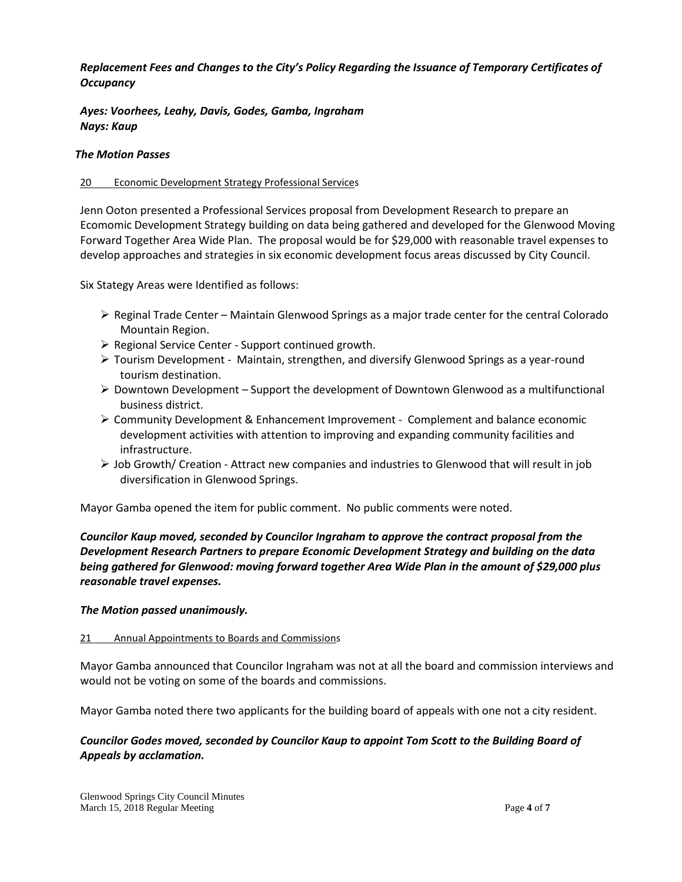# *Replacement Fees and Changes to the City's Policy Regarding the Issuance of Temporary Certificates of Occupancy*

*Ayes: Voorhees, Leahy, Davis, Godes, Gamba, Ingraham Nays: Kaup*

## *The Motion Passes*

## 20 Economic Development Strategy Professional Services

Jenn Ooton presented a Professional Services proposal from Development Research to prepare an Ecomomic Development Strategy building on data being gathered and developed for the Glenwood Moving Forward Together Area Wide Plan. The proposal would be for \$29,000 with reasonable travel expenses to develop approaches and strategies in six economic development focus areas discussed by City Council.

Six Stategy Areas were Identified as follows:

- $\triangleright$  Reginal Trade Center Maintain Glenwood Springs as a major trade center for the central Colorado Mountain Region.
- $\triangleright$  Regional Service Center Support continued growth.
- $\triangleright$  Tourism Development Maintain, strengthen, and diversify Glenwood Springs as a year-round tourism destination.
- $\triangleright$  Downtown Development Support the development of Downtown Glenwood as a multifunctional business district.
- $\triangleright$  Community Development & Enhancement Improvement Complement and balance economic development activities with attention to improving and expanding community facilities and infrastructure.
- $\triangleright$  Job Growth/ Creation Attract new companies and industries to Glenwood that will result in job diversification in Glenwood Springs.

Mayor Gamba opened the item for public comment. No public comments were noted.

*Councilor Kaup moved, seconded by Councilor Ingraham to approve the contract proposal from the Development Research Partners to prepare Economic Development Strategy and building on the data being gathered for Glenwood: moving forward together Area Wide Plan in the amount of \$29,000 plus reasonable travel expenses.*

#### *The Motion passed unanimously.*

#### 21 Annual Appointments to Boards and Commissions

Mayor Gamba announced that Councilor Ingraham was not at all the board and commission interviews and would not be voting on some of the boards and commissions.

Mayor Gamba noted there two applicants for the building board of appeals with one not a city resident.

# *Councilor Godes moved, seconded by Councilor Kaup to appoint Tom Scott to the Building Board of Appeals by acclamation.*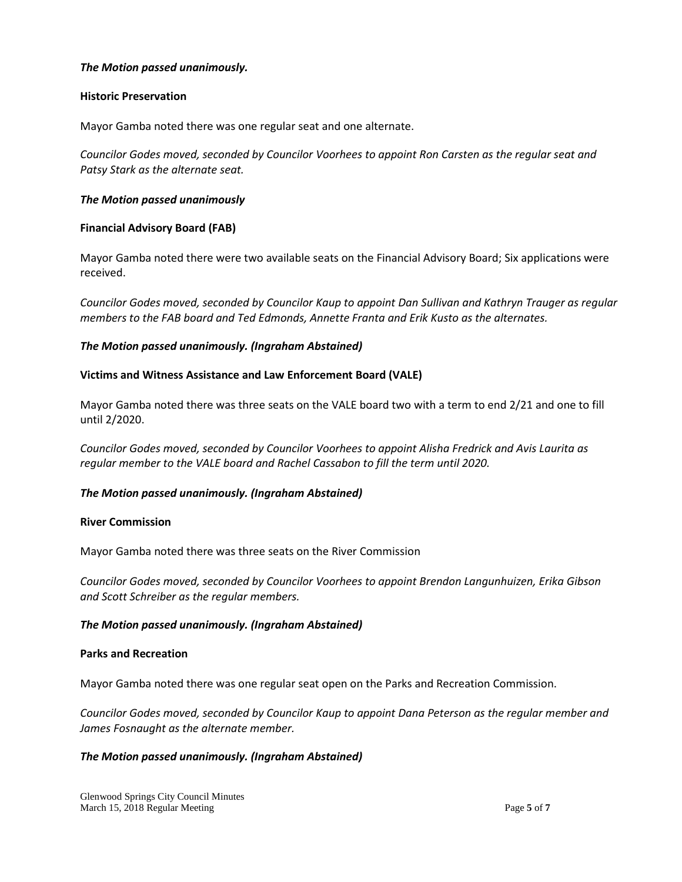# *The Motion passed unanimously.*

#### **Historic Preservation**

Mayor Gamba noted there was one regular seat and one alternate.

*Councilor Godes moved, seconded by Councilor Voorhees to appoint Ron Carsten as the regular seat and Patsy Stark as the alternate seat.*

### *The Motion passed unanimously*

### **Financial Advisory Board (FAB)**

Mayor Gamba noted there were two available seats on the Financial Advisory Board; Six applications were received.

*Councilor Godes moved, seconded by Councilor Kaup to appoint Dan Sullivan and Kathryn Trauger as regular members to the FAB board and Ted Edmonds, Annette Franta and Erik Kusto as the alternates.*

### *The Motion passed unanimously. (Ingraham Abstained)*

### **Victims and Witness Assistance and Law Enforcement Board (VALE)**

Mayor Gamba noted there was three seats on the VALE board two with a term to end 2/21 and one to fill until 2/2020.

*Councilor Godes moved, seconded by Councilor Voorhees to appoint Alisha Fredrick and Avis Laurita as regular member to the VALE board and Rachel Cassabon to fill the term until 2020.*

# *The Motion passed unanimously. (Ingraham Abstained)*

#### **River Commission**

Mayor Gamba noted there was three seats on the River Commission

*Councilor Godes moved, seconded by Councilor Voorhees to appoint Brendon Langunhuizen, Erika Gibson and Scott Schreiber as the regular members.*

#### *The Motion passed unanimously. (Ingraham Abstained)*

#### **Parks and Recreation**

Mayor Gamba noted there was one regular seat open on the Parks and Recreation Commission.

*Councilor Godes moved, seconded by Councilor Kaup to appoint Dana Peterson as the regular member and James Fosnaught as the alternate member.*

# *The Motion passed unanimously. (Ingraham Abstained)*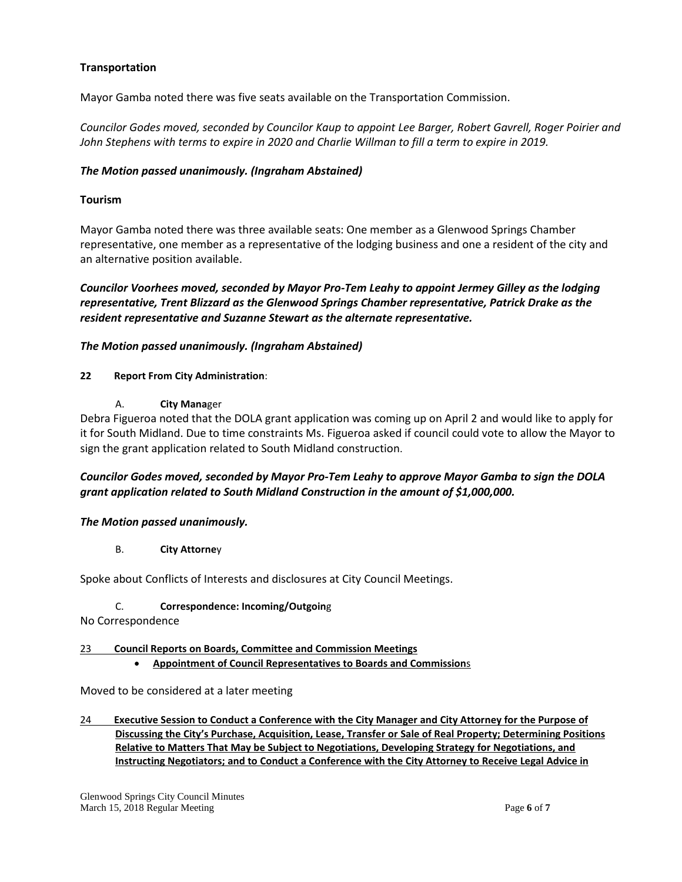# **Transportation**

Mayor Gamba noted there was five seats available on the Transportation Commission.

*Councilor Godes moved, seconded by Councilor Kaup to appoint Lee Barger, Robert Gavrell, Roger Poirier and John Stephens with terms to expire in 2020 and Charlie Willman to fill a term to expire in 2019.*

## *The Motion passed unanimously. (Ingraham Abstained)*

## **Tourism**

Mayor Gamba noted there was three available seats: One member as a Glenwood Springs Chamber representative, one member as a representative of the lodging business and one a resident of the city and an alternative position available.

*Councilor Voorhees moved, seconded by Mayor Pro-Tem Leahy to appoint Jermey Gilley as the lodging representative, Trent Blizzard as the Glenwood Springs Chamber representative, Patrick Drake as the resident representative and Suzanne Stewart as the alternate representative.*

# *The Motion passed unanimously. (Ingraham Abstained)*

#### **22 Report From City Administration**:

A. **City Mana**ger

Debra Figueroa noted that the DOLA grant application was coming up on April 2 and would like to apply for it for South Midland. Due to time constraints Ms. Figueroa asked if council could vote to allow the Mayor to sign the grant application related to South Midland construction.

# *Councilor Godes moved, seconded by Mayor Pro-Tem Leahy to approve Mayor Gamba to sign the DOLA grant application related to South Midland Construction in the amount of \$1,000,000.*

#### *The Motion passed unanimously.*

#### B. **City Attorne**y

Spoke about Conflicts of Interests and disclosures at City Council Meetings.

#### C. **Correspondence: Incoming/Outgoin**g

No Correspondence

#### 23 **Council Reports on Boards, Committee and Commission Meetings**

• **Appointment of Council Representatives to Boards and Commission**s

Moved to be considered at a later meeting

24 **Executive Session to Conduct a Conference with the City Manager and City Attorney for the Purpose of Discussing the City's Purchase, Acquisition, Lease, Transfer or Sale of Real Property; Determining Positions Relative to Matters That May be Subject to Negotiations, Developing Strategy for Negotiations, and Instructing Negotiators; and to Conduct a Conference with the City Attorney to Receive Legal Advice in**